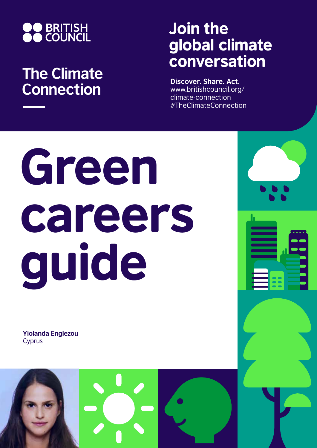

## **The Climate Connection**

## Join the global climate conversation

**Discover. Share. Act.** www.britishcouncil.org/ climate-connection #TheClimateConnection

## Green careers guide

**Yiolanda Englezou** Cyprus

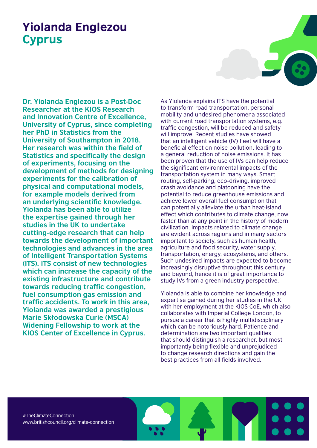## Yiolanda Englezou Cyprus

**Dr. Yiolanda Englezou is a Post-Doc Researcher at the KIOS Research and Innovation Centre of Excellence, University of Cyprus, since completing her PhD in Statistics from the University of Southampton in 2018. Her research was within the field of Statistics and specifically the design of experiments, focusing on the development of methods for designing experiments for the calibration of physical and computational models, for example models derived from an underlying scientific knowledge. Yiolanda has been able to utilize the expertise gained through her studies in the UK to undertake cutting-edge research that can help towards the development of important technologies and advances in the area of Intelligent Transportation Systems (ITS). ITS consist of new technologies which can increase the capacity of the existing infrastructure and contribute towards reducing traffic congestion, fuel consumption gas emission and traffic accidents. To work in this area, Yiolanda was awarded a prestigious Marie Skłodowska Curie (MSCA) Widening Fellowship to work at the KIOS Center of Excellence in Cyprus.**

As Yiolanda explains ITS have the potential to transform road transportation, personal mobility and undesired phenomena associated with current road transportation systems, e.g. traffic congestion, will be reduced and safety will improve. Recent studies have showed that an intelligent vehicle (IV) fleet will have a beneficial effect on noise pollution, leading to a general reduction of noise emissions. It has been proven that the use of IVs can help reduce the significant environmental impacts of the transportation system in many ways. Smart routing, self-parking, eco-driving, improved crash avoidance and platooning have the potential to reduce greenhouse emissions and achieve lower overall fuel consumption that can potentially alleviate the urban heat-island effect which contributes to climate change, now faster than at any point in the history of modern civilization. Impacts related to climate change are evident across regions and in many sectors important to society, such as human health, agriculture and food security, water supply, transportation, energy, ecosystems, and others. Such undesired impacts are expected to become increasingly disruptive throughout this century and beyond, hence it is of great importance to study IVs from a green industry perspective.

Yiolanda is able to combine her knowledge and expertise gained during her studies in the UK, with her employment at the KIOS CoE, which also collaborates with Imperial College London, to pursue a career that is highly multidisciplinary which can be notoriously hard. Patience and determination are two important qualities that should distinguish a researcher, but most importantly being flexible and unprejudiced to change research directions and gain the best practices from all fields involved.

#TheClimateConnection www.britishcouncil.org/climate-connection